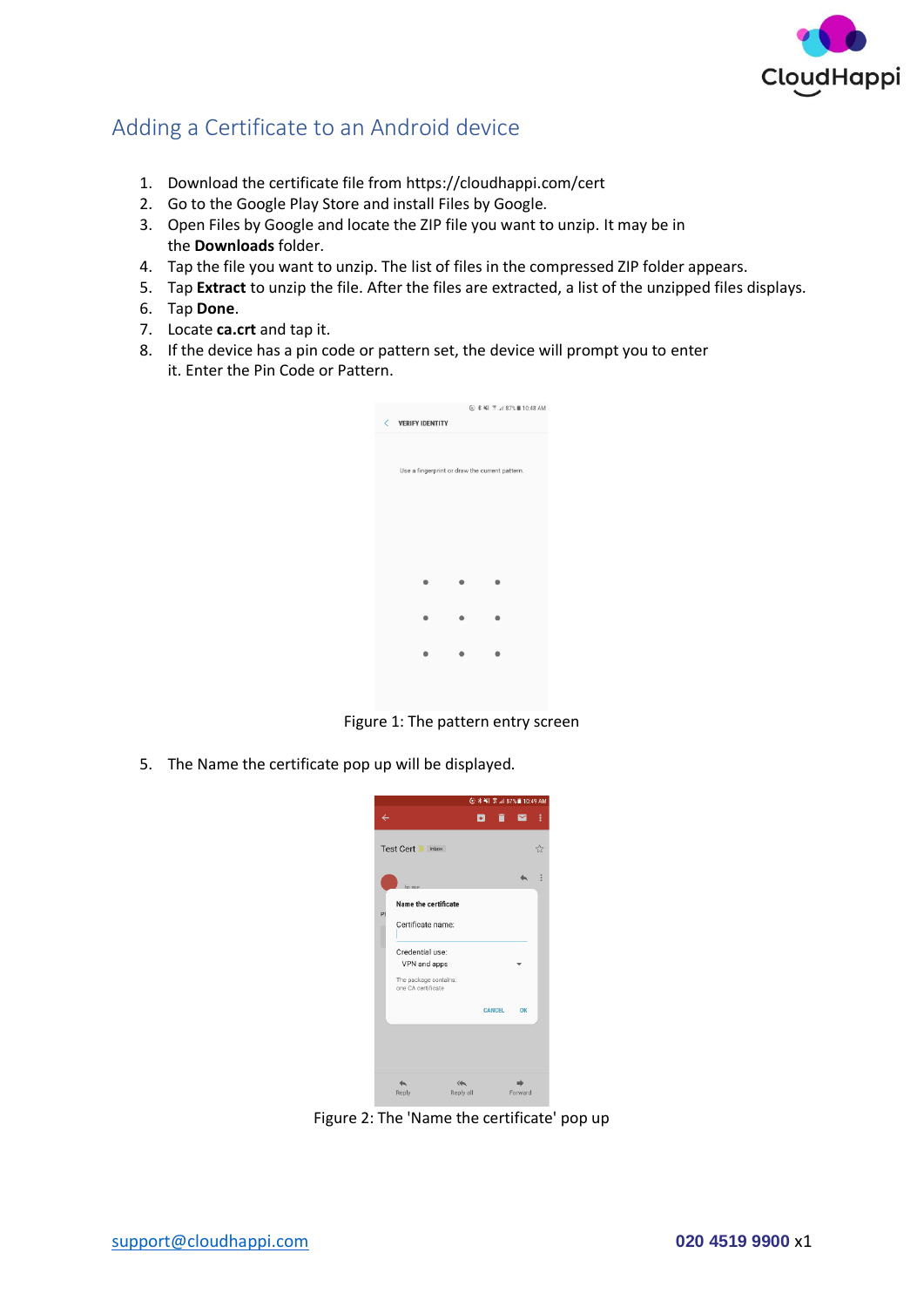

## Adding a Certificate to an Android device

- 1. Download the certificate file fro[m https://cloudhappi.com/cert](https://cloudhappi.com/cert)
- 2. Go to the [Google Play Store](https://www.lifewire.com/what-is-google-play-1616720) and install Files by Google.
- 3. Open Files by Google and locate the ZIP file you want to unzip. It may be in the **Downloads** folder.
- 4. Tap the file you want to unzip. The list of files in the compressed ZIP folder appears.
- 5. Tap **Extract** to unzip the file. After the files are extracted, a list of the unzipped files displays.
- 6. Tap **Done**.
- 7. Locate **ca.crt** and tap it.
- 8. If the device has a pin code or pattern set, the device will prompt you to enter it. Enter the Pin Code or Pattern.

| K | <b>VERIFY IDENTITY</b> |                                                |  |
|---|------------------------|------------------------------------------------|--|
|   |                        |                                                |  |
|   |                        |                                                |  |
|   |                        |                                                |  |
|   |                        |                                                |  |
|   |                        | Use a fingerprint or draw the current pattern. |  |
|   |                        |                                                |  |
|   |                        |                                                |  |
|   |                        |                                                |  |
|   |                        |                                                |  |
|   |                        |                                                |  |
|   |                        |                                                |  |
|   |                        |                                                |  |
|   |                        |                                                |  |
|   |                        |                                                |  |
|   |                        |                                                |  |
|   |                        |                                                |  |
|   |                        |                                                |  |
|   |                        |                                                |  |
|   |                        |                                                |  |
|   |                        |                                                |  |
|   |                        |                                                |  |
|   |                        |                                                |  |
|   |                        |                                                |  |
|   |                        |                                                |  |
|   |                        |                                                |  |

Figure 1: The pattern entry screen

5. The Name the certificate pop up will be displayed.



Figure 2: The 'Name the certificate' pop up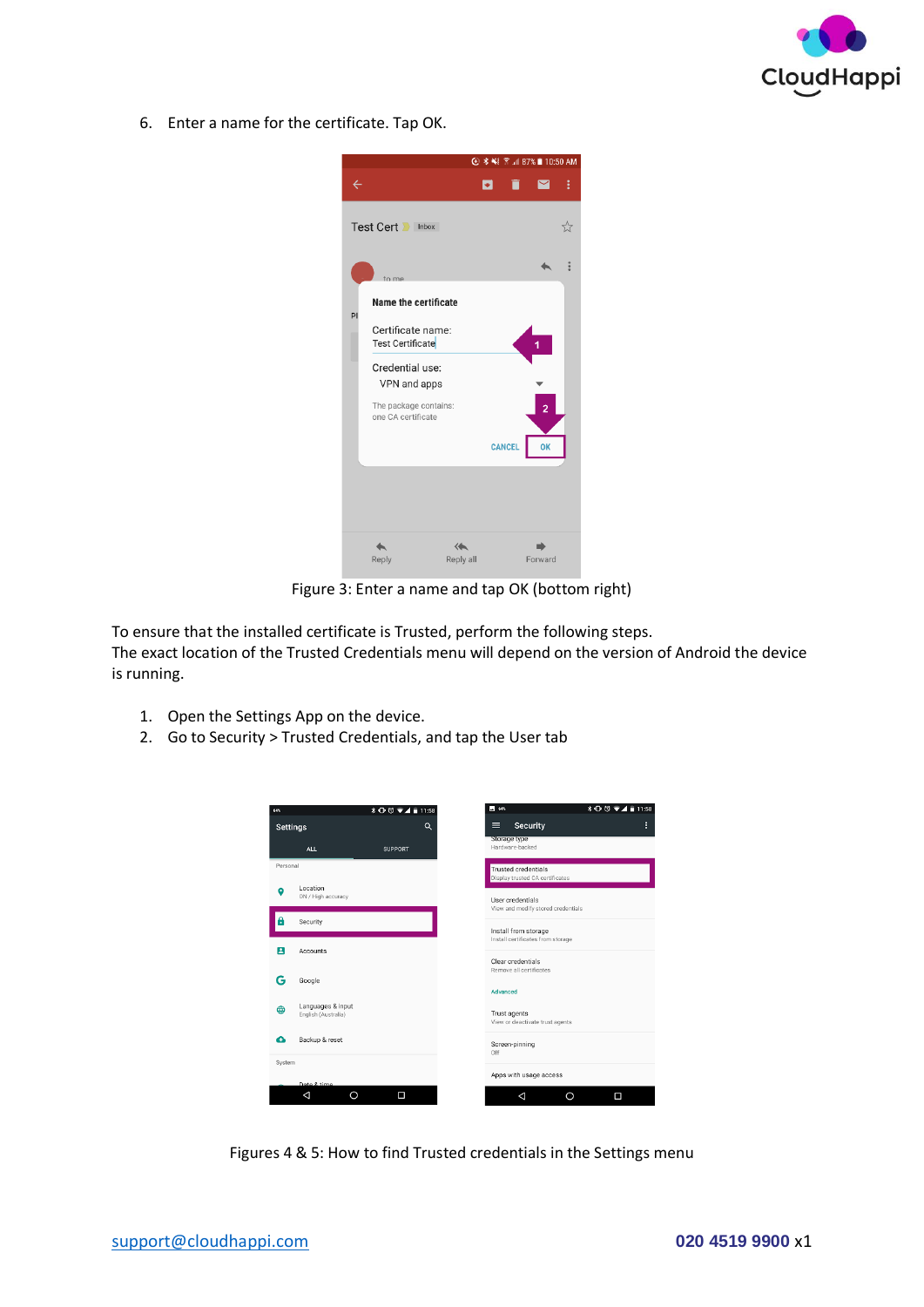

6. Enter a name for the certificate. Tap OK.



Figure 3: Enter a name and tap OK (bottom right)

To ensure that the installed certificate is Trusted, perform the following steps. The exact location of the Trusted Credentials menu will depend on the version of Android the device is running.

- 1. Open the Settings App on the device.
- 2. Go to Security > Trusted Credentials, and tap the User tab

| 64%      |                                | $* ① ③ ⑤ 11:58$ |   | $-$ 64%                                                   | $\textbf{1} \oplus \textbf{0} \textbf{1} \oplus \textbf{1} \textbf{1} \oplus \textbf{1} \oplus \textbf{1}$ |   |
|----------|--------------------------------|-----------------|---|-----------------------------------------------------------|------------------------------------------------------------------------------------------------------------|---|
|          | <b>Settings</b>                |                 | Q | <b>Security</b><br>≡                                      |                                                                                                            | B |
|          | <b>ALL</b>                     | <b>SUPPORT</b>  |   | Storage type<br>Hardware-backed                           |                                                                                                            |   |
| Personal |                                |                 |   | <b>Trusted credentials</b>                                |                                                                                                            |   |
| o        | Location<br>ON / High accuracy |                 |   | Display trusted CA certificates                           |                                                                                                            |   |
|          |                                |                 |   | User credentials<br>View and modify stored credentials    |                                                                                                            |   |
| 8        | Security                       |                 |   |                                                           |                                                                                                            |   |
|          |                                |                 |   | Install from storage<br>Install certificates from storage |                                                                                                            |   |
| Е        | Accounts                       |                 |   | Clear credentials                                         |                                                                                                            |   |
|          |                                |                 |   | Remove all certificates                                   |                                                                                                            |   |
|          | Google                         |                 |   | Advanced                                                  |                                                                                                            |   |
| ⊕        | Languages & input              |                 |   |                                                           |                                                                                                            |   |
|          | English (Australia)            |                 |   | Trust agents<br>View or deactivate trust agents           |                                                                                                            |   |
| Ω        | Backup & reset                 |                 |   | Screen-pinning                                            |                                                                                                            |   |
| System   |                                |                 |   | Off                                                       |                                                                                                            |   |
|          |                                |                 |   | Apps with usage access                                    |                                                                                                            |   |
|          | Date & time<br>◁<br>Ω          | Ω               |   | ⊲                                                         | Ο<br>O                                                                                                     |   |

Figures 4 & 5: How to find Trusted credentials in the Settings menu